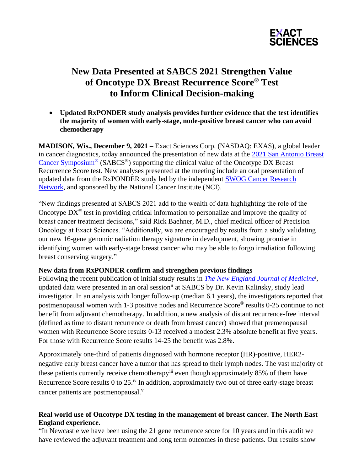

# **New Data Presented at SABCS 2021 Strengthen Value of Oncotype DX Breast Recurrence Score® Test to Inform Clinical Decision-making**

• **Updated RxPONDER study analysis provides further evidence that the test identifies the majority of women with early-stage, node-positive breast cancer who can avoid chemotherapy** 

**MADISON, Wis., December 9, 2021 –** Exact Sciences Corp. (NASDAQ: EXAS), a global leader in cancer diagnostics, today announced the presentation of new data at the [2021 San Antonio Breast](https://www.sabcs.org/2021-SABCS)  [Cancer Symposium](https://www.sabcs.org/2021-SABCS)<sup>®</sup> (SABCS<sup>®</sup>) supporting the clinical value of the Oncotype DX Breast Recurrence Score test. New analyses presented at the meeting include an oral presentation of updated data from the RxPONDER study led by the independent [SWOG Cancer Research](https://www.swog.org/clinical-trials/s1007)  [Network,](https://www.swog.org/clinical-trials/s1007) and sponsored by the National Cancer Institute (NCI).

"New findings presented at SABCS 2021 add to the wealth of data highlighting the role of the Oncotype  $DX^{\circledast}$  test in providing critical information to personalize and improve the quality of breast cancer treatment decisions," said Rick Baehner, M.D., chief medical officer of Precision Oncology at Exact Sciences. "Additionally, we are encouraged by results from a study validating our new 16-gene genomic radiation therapy signature in development, showing promise in identifying women with early-stage breast cancer who may be able to forgo irradiation following breast conserving surgery."

### **New data from RxPONDER confirm and strengthen previous findings**

Following the recent publication of initial study results in *[The New England Journal of Medicine](https://www.nejm.org/doi/full/10.1056/NEJMoa2108873?query=main_nav_lg)<sup>i</sup> ,*  updated data were presented in an oral session<sup>ii</sup> at SABCS by Dr. Kevin Kalinsky, study lead investigator. In an analysis with longer follow-up (median 6.1 years), the investigators reported that postmenopausal women with 1-3 positive nodes and Recurrence Score® results 0-25 continue to not benefit from adjuvant chemotherapy. In addition, a new analysis of distant recurrence-free interval (defined as time to distant recurrence or death from breast cancer) showed that premenopausal women with Recurrence Score results 0-13 received a modest 2.3% absolute benefit at five years. For those with Recurrence Score results 14-25 the benefit was 2.8%.

Approximately one-third of patients diagnosed with hormone receptor (HR)-positive, HER2 negative early breast cancer have a tumor that has spread to their lymph nodes. The vast majority of these patients currently receive chemotherapy<sup>iii</sup> even though approximately 85% of them have Recurrence Score results 0 to  $25.^{\rm iv}$  In addition, approximately two out of three early-stage breast cancer patients are postmenopausal. $v$ 

## **Real world use of Oncotype DX testing in the management of breast cancer. The North East England experience.**

"In Newcastle we have been using the 21 gene recurrence score for 10 years and in this audit we have reviewed the adjuvant treatment and long term outcomes in these patients. Our results show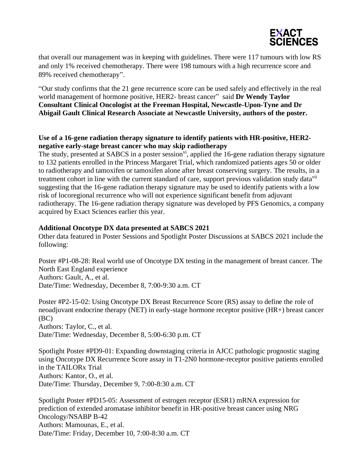

that overall our management was in keeping with guidelines. There were 117 tumours with low RS and only 1% received chemotherapy. There were 198 tumours with a high recurrence score and 89% received chemotherapy".

"Our study confirms that the 21 gene recurrence score can be used safely and effectively in the real world management of hormone positive, HER2- breast cancer" said **Dr Wendy Taylor Consultant Clinical Oncologist at the Freeman Hospital, Newcastle-Upon-Tyne and Dr Abigail Gault Clinical Research Associate at Newcastle University, authors of the poster.** 

# **Use of a 16-gene radiation therapy signature to identify patients with HR-positive, HER2 negative early-stage breast cancer who may skip radiotherapy**

The study, presented at SABCS in a poster session<sup>vi</sup>, applied the 16-gene radiation therapy signature to 132 patients enrolled in the Princess Margaret Trial, which randomized patients ages 50 or older to radiotherapy and tamoxifen or tamoxifen alone after breast conserving surgery. The results, in a treatment cohort in line with the current standard of care, support previous validation study data<sup>vii</sup> suggesting that the 16-gene radiation therapy signature may be used to identify patients with a low risk of locoregional recurrence who will not experience significant benefit from adjuvant radiotherapy. The 16-gene radiation therapy signature was developed by PFS Genomics, a company acquired by Exact Sciences earlier this year.

### **Additional Oncotype DX data presented at SABCS 2021**

Other data featured in Poster Sessions and Spotlight Poster Discussions at SABCS 2021 include the following:

Poster #P1-08-28: Real world use of Oncotype DX testing in the management of breast cancer. The North East England experience Authors: Gault, A., et al. Date/Time: Wednesday, December 8, 7:00-9:30 a.m. CT

Poster #P2-15-02: Using Oncotype DX Breast Recurrence Score (RS) assay to define the role of neoadjuvant endocrine therapy (NET) in early-stage hormone receptor positive (HR+) breast cancer (BC) Authors: Taylor, C., et al. Date/Time: Wednesday, December 8, 5:00-6:30 p.m. CT

Spotlight Poster #PD9-01: Expanding downstaging criteria in AJCC pathologic prognostic staging using Oncotype DX Recurrence Score assay in T1-2N0 hormone-receptor positive patients enrolled in the TAILORx Trial Authors: Kantor, O., et al. Date/Time: Thursday, December 9, 7:00-8:30 a.m. CT

Spotlight Poster #PD15-05: Assessment of estrogen receptor (ESR1) mRNA expression for prediction of extended aromatase inhibitor benefit in HR-positive breast cancer using NRG Oncology/NSABP B-42 Authors: Mamounas, E., et al. Date/Time: Friday, December 10, 7:00-8:30 a.m. CT